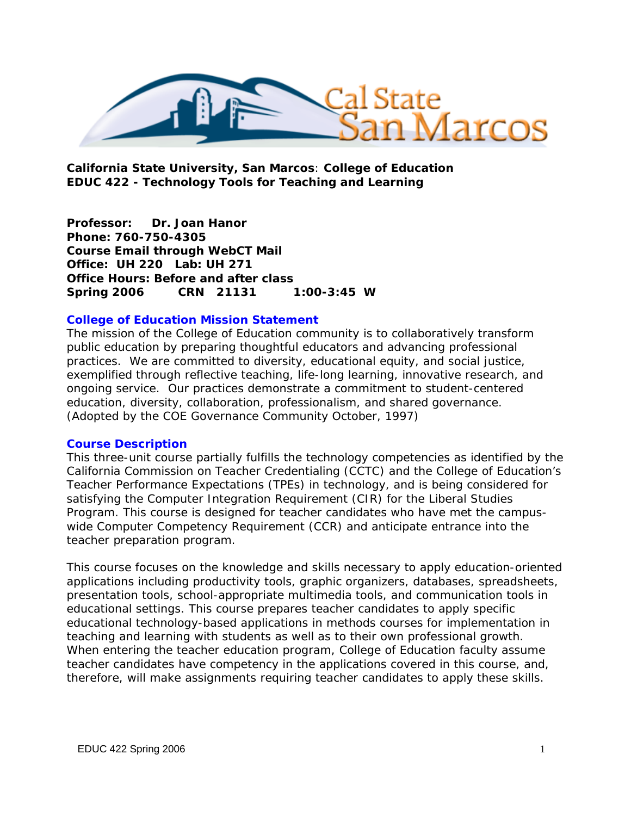

**California State University, San Marcos**: **College of Education EDUC 422 - Technology Tools for Teaching and Learning** 

**Professor: Dr. Joan Hanor Phone: 760-750-4305 Course Email through WebCT Mail Office: UH 220 Lab: UH 271 Office Hours: Before and after class Spring 2006 CRN 21131 1:00-3:45 W** 

#### **College of Education Mission Statement**

The mission of the College of Education community is to collaboratively transform public education by preparing thoughtful educators and advancing professional practices. We are committed to diversity, educational equity, and social justice, exemplified through reflective teaching, life-long learning, innovative research, and ongoing service. Our practices demonstrate a commitment to student-centered education, diversity, collaboration, professionalism, and shared governance. *(Adopted by the COE Governance Community October, 1997)* 

#### **Course Description**

This three-unit course partially fulfills the technology competencies as identified by the California Commission on Teacher Credentialing (CCTC) and the College of Education's Teacher Performance Expectations (TPEs) in technology, and is being considered for satisfying the Computer Integration Requirement (CIR) for the Liberal Studies Program. This course is designed for teacher candidates who have met the campuswide Computer Competency Requirement (CCR) and anticipate entrance into the teacher preparation program.

This course focuses on the knowledge and skills necessary to apply education-oriented applications including productivity tools, graphic organizers, databases, spreadsheets, presentation tools, school-appropriate multimedia tools, and communication tools in educational settings. This course prepares teacher candidates to apply specific educational technology-based applications in methods courses for implementation in teaching and learning with students as well as to their own professional growth. When entering the teacher education program, College of Education faculty assume teacher candidates have competency in the applications covered in this course, and, therefore, will make assignments requiring teacher candidates to apply these skills.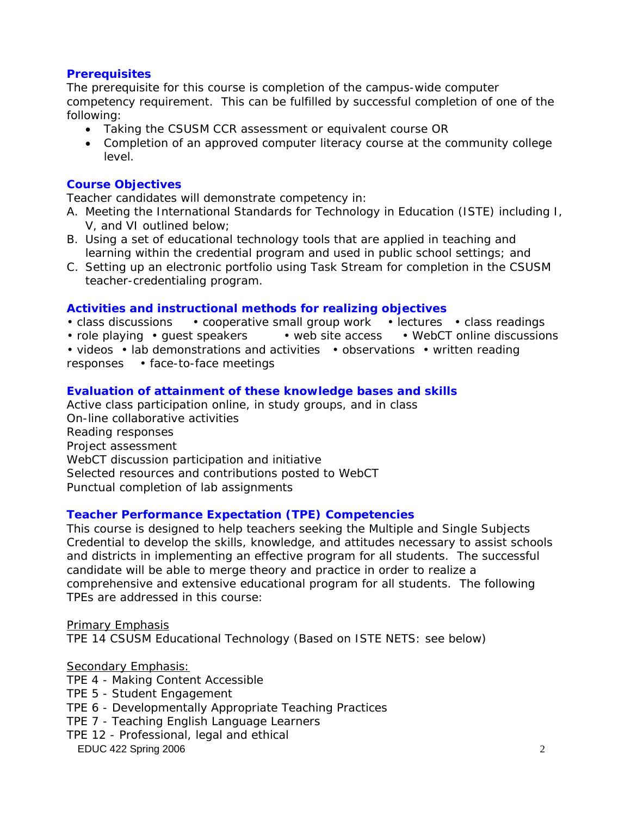## **Prerequisites**

The prerequisite for this course is completion of the campus-wide computer competency requirement. This can be fulfilled by successful completion of one of the following:

- Taking the CSUSM CCR assessment or equivalent course OR
- Completion of an approved computer literacy course at the community college level.

## **Course Objectives**

Teacher candidates will demonstrate competency in:

- A. Meeting the International Standards for Technology in Education (ISTE) including I, V, and VI outlined below;
- B. Using a set of educational technology tools that are applied in teaching and learning within the credential program and used in public school settings; and
- C. Setting up an electronic portfolio using Task Stream for completion in the CSUSM teacher-credentialing program.

### **Activities and instructional methods for realizing objectives**

- class discussions cooperative small group work lectures class readings
- role playing guest speakers web site access WebCT online discussions

• videos • lab demonstrations and activities • observations • written reading

responses • face-to-face meetings

#### **Evaluation of attainment of these knowledge bases and skills**

Active class participation online, in study groups, and in class On-line collaborative activities Reading responses Project assessment WebCT discussion participation and initiative Selected resources and contributions posted to WebCT Punctual completion of lab assignments

### **Teacher Performance Expectation (TPE) Competencies**

This course is designed to help teachers seeking the Multiple and Single Subjects Credential to develop the skills, knowledge, and attitudes necessary to assist schools and districts in implementing an effective program for all students. The successful candidate will be able to merge theory and practice in order to realize a comprehensive and extensive educational program for all students. The following TPEs are addressed in this course:

Primary Emphasis

TPE 14 CSUSM Educational Technology (Based on ISTE NETS: see below)

Secondary Emphasis:

- TPE 4 Making Content Accessible
- TPE 5 Student Engagement
- TPE 6 Developmentally Appropriate Teaching Practices
- TPE 7 Teaching English Language Learners
- EDUC 422 Spring 2006 2 TPE 12 - Professional, legal and ethical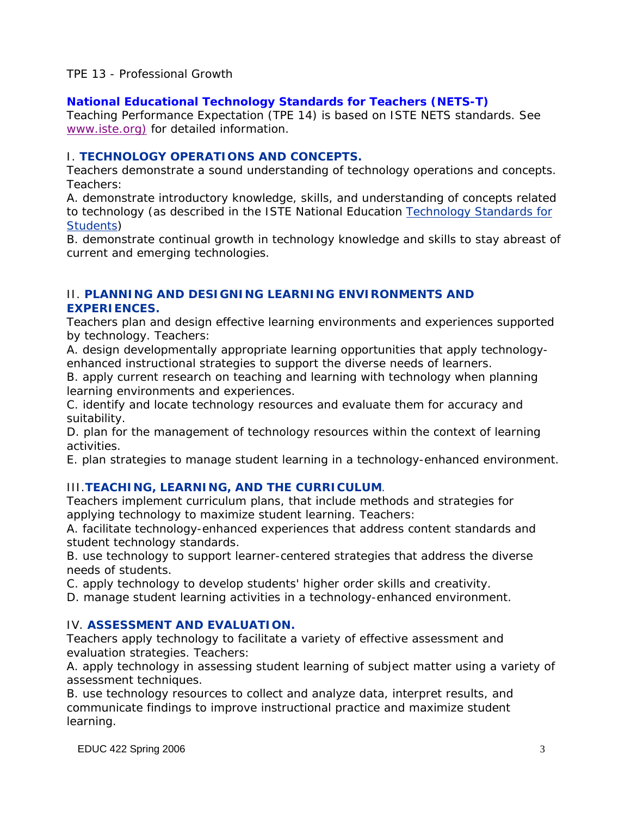## TPE 13 - Professional Growth

## **National Educational Technology Standards for Teachers (NETS-T)**

Teaching Performance Expectation (TPE 14) is based on ISTE NETS standards. See www.iste.org) for detailed information.

## I. **TECHNOLOGY OPERATIONS AND CONCEPTS.**

*Teachers demonstrate a sound understanding of technology operations and concepts. Teachers:*

A. demonstrate introductory knowledge, skills, and understanding of concepts related to technology (as described in the ISTE National Education Technology Standards for Students)

B. demonstrate continual growth in technology knowledge and skills to stay abreast of current and emerging technologies.

## II. **PLANNING AND DESIGNING LEARNING ENVIRONMENTS AND EXPERIENCES.**

*Teachers plan and design effective learning environments and experiences supported by technology. Teachers:*

A. design developmentally appropriate learning opportunities that apply technologyenhanced instructional strategies to support the diverse needs of learners.

B. apply current research on teaching and learning with technology when planning learning environments and experiences.

C. identify and locate technology resources and evaluate them for accuracy and suitability.

D. plan for the management of technology resources within the context of learning activities.

E. plan strategies to manage student learning in a technology-enhanced environment.

### III.**TEACHING, LEARNING, AND THE CURRICULUM**.

*Teachers implement curriculum plans, that include methods and strategies for applying technology to maximize student learning. Teachers:*

A. facilitate technology-enhanced experiences that address content standards and student technology standards.

B. use technology to support learner-centered strategies that address the diverse needs of students.

C. apply technology to develop students' higher order skills and creativity.

D. manage student learning activities in a technology-enhanced environment.

## IV. **ASSESSMENT AND EVALUATION.**

Teachers apply technology to facilitate a variety of effective assessment and evaluation strategies. Teachers:

A. apply technology in assessing student learning of subject matter using a variety of assessment techniques.

B. use technology resources to collect and analyze data, interpret results, and communicate findings to improve instructional practice and maximize student learning.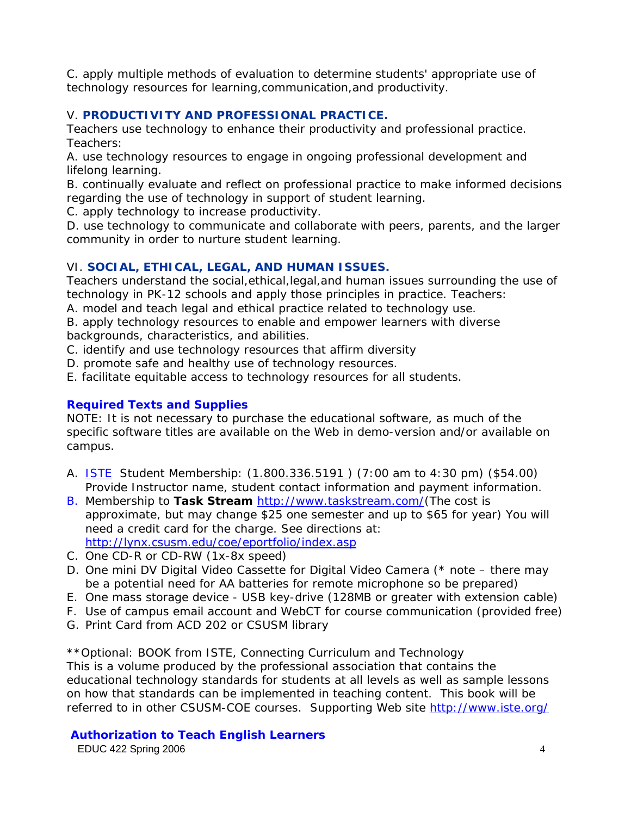C. apply multiple methods of evaluation to determine students' appropriate use of technology resources for learning,communication,and productivity.

# V. **PRODUCTIVITY AND PROFESSIONAL PRACTICE.**

*Teachers use technology to enhance their productivity and professional practice. Teachers:*

A. use technology resources to engage in ongoing professional development and lifelong learning.

B. continually evaluate and reflect on professional practice to make informed decisions regarding the use of technology in support of student learning.

C. apply technology to increase productivity.

D. use technology to communicate and collaborate with peers, parents, and the larger community in order to nurture student learning.

# VI. **SOCIAL, ETHICAL, LEGAL, AND HUMAN ISSUES.**

*Teachers understand the social,ethical,legal,and human issues surrounding the use of technology in PK-12 schools and apply those principles in practice. Teachers:*

A. model and teach legal and ethical practice related to technology use.

B. apply technology resources to enable and empower learners with diverse backgrounds, characteristics, and abilities.

C. identify and use technology resources that affirm diversity

D. promote safe and healthy use of technology resources.

E. facilitate equitable access to technology resources for all students.

# **Required Texts and Supplies**

NOTE: It is not necessary to purchase the educational software, as much of the specific software titles are available on the Web in demo-version and/or available on campus.

- A. **ISTE** Student Membership:  $(1.800.336.5191)$  (7:00 am to 4:30 pm) (\$54.00) Provide Instructor name, student contact information and payment information.
- B. Membership to **Task Stream** http://www.taskstream.com/(The cost is approximate, but may change \$25 one semester and up to \$65 for year) You will need a credit card for the charge. See directions at: http://lynx.csusm.edu/coe/eportfolio/index.asp
- C. One CD-R or CD-RW (1x-8x speed)
- D. One mini DV Digital Video Cassette for Digital Video Camera (\* note there may be a potential need for AA batteries for remote microphone so be prepared)
- E. One mass storage device USB key-drive (128MB or greater with extension cable)
- F. Use of campus email account and WebCT for course communication (provided free)
- G. Print Card from ACD 202 or CSUSM library

# \*\*Optional: BOOK from ISTE, *Connecting Curriculum and Technology*

This is a volume produced by the professional association that contains the educational technology standards for students at all levels as well as sample lessons on how that standards can be implemented in teaching content. This book will be referred to in other CSUSM-COE courses. Supporting Web site http://www.iste.org/

## **Authorization to Teach English Learners**

EDUC 422 Spring 2006 4 and the state of the state of the state of the state of the state of the state of the state of the state of the state of the state of the state of the state of the state of the state of the state of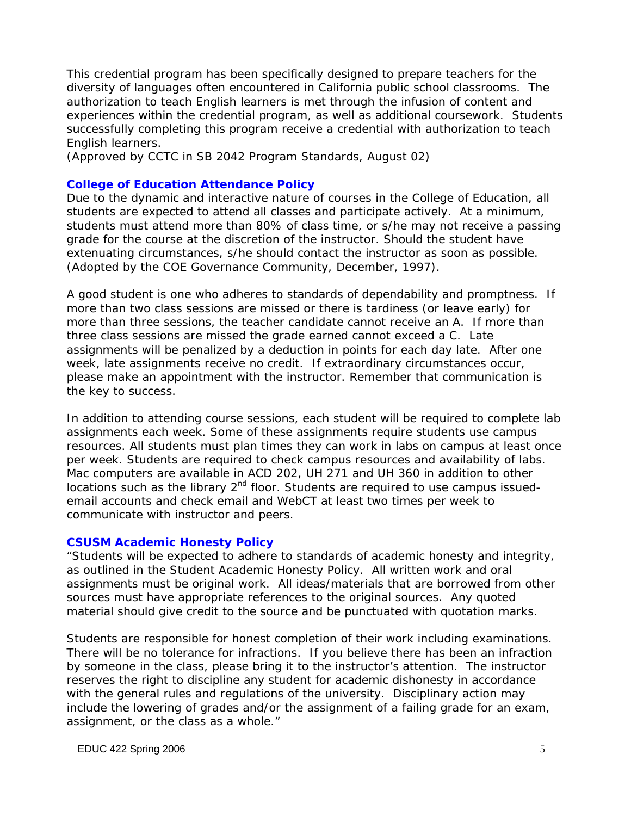This credential program has been specifically designed to prepare teachers for the diversity of languages often encountered in California public school classrooms. The authorization to teach English learners is met through the infusion of content and experiences within the credential program, as well as additional coursework. Students successfully completing this program receive a credential with authorization to teach English learners.

*(Approved by CCTC in SB 2042 Program Standards, August 02)*

#### **College of Education Attendance Policy**

Due to the dynamic and interactive nature of courses in the College of Education, all students are expected to attend all classes and participate actively. At a minimum, students must attend more than 80% of class time, or s/he may not receive a passing grade for the course at the discretion of the instructor. Should the student have extenuating circumstances, s/he should contact the instructor as soon as possible. *(Adopted by the COE Governance Community, December, 1997).*

A good student is one who adheres to standards of dependability and promptness. If more than two class sessions are missed or there is tardiness (or leave early) for more than three sessions, the teacher candidate cannot receive an A. If more than three class sessions are missed the grade earned cannot exceed a C. Late assignments will be penalized by a deduction in points for each day late. After one week, late assignments receive no credit. If extraordinary circumstances occur, please make an appointment with the instructor. Remember that communication is the key to success.

In addition to attending course sessions, each student will be required to complete lab assignments each week. Some of these assignments require students use campus resources. All students must plan times they can work in labs on campus at least once per week. Students are required to check campus resources and availability of labs. Mac computers are available in ACD 202, UH 271 and UH 360 in addition to other  $locations$  such as the library  $2<sup>nd</sup>$  floor. Students are required to use campus issuedemail accounts and check email and WebCT at least two times per week to communicate with instructor and peers.

#### **CSUSM Academic Honesty Policy**

"Students will be expected to adhere to standards of academic honesty and integrity, as outlined in the Student Academic Honesty Policy. All written work and oral assignments must be original work. All ideas/materials that are borrowed from other sources must have appropriate references to the original sources. Any quoted material should give credit to the source and be punctuated with quotation marks.

Students are responsible for honest completion of their work including examinations. There will be no tolerance for infractions. If you believe there has been an infraction by someone in the class, please bring it to the instructor's attention. The instructor reserves the right to discipline any student for academic dishonesty in accordance with the general rules and regulations of the university. Disciplinary action may include the lowering of grades and/or the assignment of a failing grade for an exam, assignment, or the class as a whole."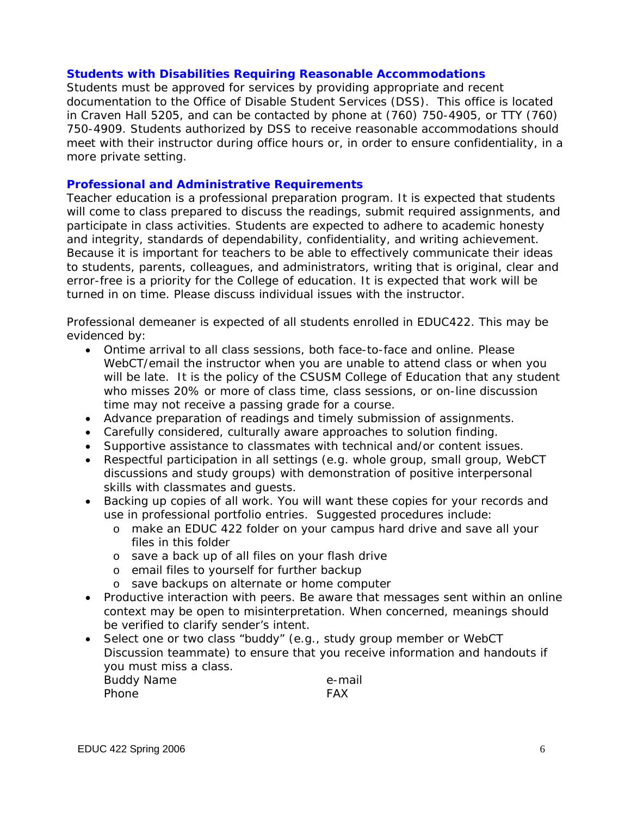#### **Students with Disabilities Requiring Reasonable Accommodations**

Students must be approved for services by providing appropriate and recent documentation to the Office of Disable Student Services (DSS). This office is located in Craven Hall 5205, and can be contacted by phone at (760) 750-4905, or TTY (760) 750-4909. Students authorized by DSS to receive reasonable accommodations should meet with their instructor during office hours or, in order to ensure confidentiality, in a more private setting.

#### **Professional and Administrative Requirements**

Teacher education is a professional preparation program. It is expected that students will come to class prepared to discuss the readings, submit required assignments, and participate in class activities. Students are expected to adhere to academic honesty and integrity, standards of dependability, confidentiality, and writing achievement. Because it is important for teachers to be able to effectively communicate their ideas to students, parents, colleagues, and administrators, writing that is original, clear and error-free is a priority for the College of education. It is expected that work will be turned in on time. Please discuss individual issues with the instructor.

Professional demeaner is expected of all students enrolled in EDUC422. This may be evidenced by:

- Ontime arrival to all class sessions, both face-to-face and online. Please WebCT/email the instructor when you are unable to attend class or when you will be late. It is the policy of the CSUSM College of Education that any student who misses 20% or more of class time, class sessions, or on-line discussion time may not receive a passing grade for a course.
- Advance preparation of readings and timely submission of assignments.
- Carefully considered, culturally aware approaches to solution finding.
- Supportive assistance to classmates with technical and/or content issues.
- Respectful participation in all settings (e.g. whole group, small group, WebCT discussions and study groups) with demonstration of positive interpersonal skills with classmates and guests.
- Backing up copies of all work. You will want these copies for your records and use in professional portfolio entries. Suggested procedures include:
	- o make an EDUC 422 folder on your campus hard drive and save all your files in this folder
	- o save a back up of all files on your flash drive
	- o email files to yourself for further backup
	- o save backups on alternate or home computer
- Productive interaction with peers. Be aware that messages sent within an online context may be open to misinterpretation. When concerned, meanings should be verified to clarify sender's intent.
- Select one or two class "buddy" (e.g., study group member or WebCT Discussion teammate) to ensure that you receive information and handouts if you must miss a class. Buddy Name e-mail Phone **FAX**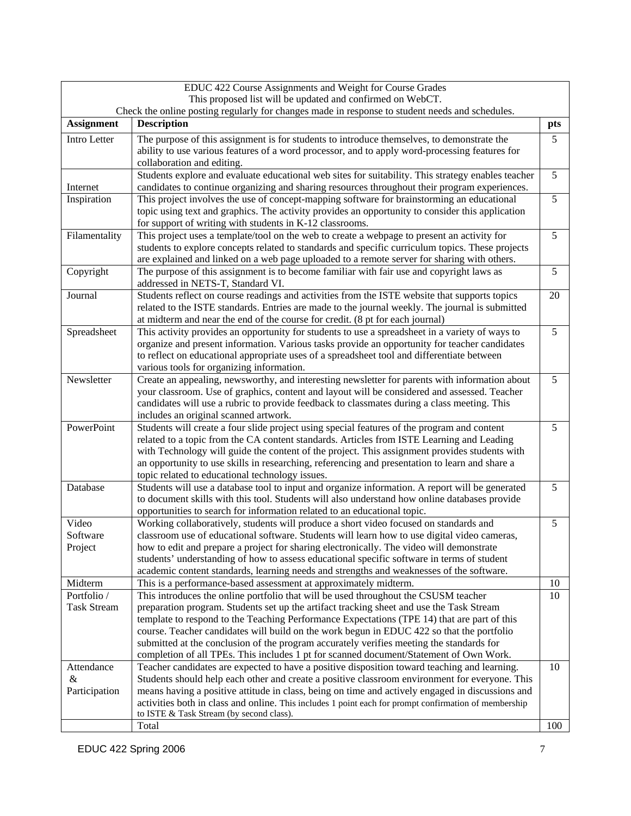| EDUC 422 Course Assignments and Weight for Course Grades                                        |                                                                                                                                                                                                                                                                                                                                                                                                                                                                             |                 |  |  |  |
|-------------------------------------------------------------------------------------------------|-----------------------------------------------------------------------------------------------------------------------------------------------------------------------------------------------------------------------------------------------------------------------------------------------------------------------------------------------------------------------------------------------------------------------------------------------------------------------------|-----------------|--|--|--|
| This proposed list will be updated and confirmed on WebCT.                                      |                                                                                                                                                                                                                                                                                                                                                                                                                                                                             |                 |  |  |  |
| Check the online posting regularly for changes made in response to student needs and schedules. |                                                                                                                                                                                                                                                                                                                                                                                                                                                                             |                 |  |  |  |
| <b>Assignment</b>                                                                               | <b>Description</b>                                                                                                                                                                                                                                                                                                                                                                                                                                                          | pts             |  |  |  |
| Intro Letter                                                                                    | The purpose of this assignment is for students to introduce themselves, to demonstrate the<br>ability to use various features of a word processor, and to apply word-processing features for<br>collaboration and editing.                                                                                                                                                                                                                                                  | $5\overline{)}$ |  |  |  |
|                                                                                                 | Students explore and evaluate educational web sites for suitability. This strategy enables teacher                                                                                                                                                                                                                                                                                                                                                                          | 5               |  |  |  |
| Internet                                                                                        | candidates to continue organizing and sharing resources throughout their program experiences.                                                                                                                                                                                                                                                                                                                                                                               |                 |  |  |  |
| Inspiration                                                                                     | This project involves the use of concept-mapping software for brainstorming an educational<br>topic using text and graphics. The activity provides an opportunity to consider this application<br>for support of writing with students in K-12 classrooms.                                                                                                                                                                                                                  | 5               |  |  |  |
| Filamentality                                                                                   | This project uses a template/tool on the web to create a webpage to present an activity for<br>students to explore concepts related to standards and specific curriculum topics. These projects<br>are explained and linked on a web page uploaded to a remote server for sharing with others.                                                                                                                                                                              | 5               |  |  |  |
| Copyright                                                                                       | The purpose of this assignment is to become familiar with fair use and copyright laws as<br>addressed in NETS-T, Standard VI.                                                                                                                                                                                                                                                                                                                                               | 5               |  |  |  |
| Journal                                                                                         | Students reflect on course readings and activities from the ISTE website that supports topics<br>related to the ISTE standards. Entries are made to the journal weekly. The journal is submitted<br>at midterm and near the end of the course for credit. (8 pt for each journal)                                                                                                                                                                                           | 20              |  |  |  |
| Spreadsheet                                                                                     | This activity provides an opportunity for students to use a spreadsheet in a variety of ways to<br>organize and present information. Various tasks provide an opportunity for teacher candidates<br>to reflect on educational appropriate uses of a spreadsheet tool and differentiate between<br>various tools for organizing information.                                                                                                                                 | 5               |  |  |  |
| Newsletter                                                                                      | Create an appealing, newsworthy, and interesting newsletter for parents with information about<br>your classroom. Use of graphics, content and layout will be considered and assessed. Teacher<br>candidates will use a rubric to provide feedback to classmates during a class meeting. This<br>includes an original scanned artwork.                                                                                                                                      | 5               |  |  |  |
| PowerPoint                                                                                      | Students will create a four slide project using special features of the program and content<br>related to a topic from the CA content standards. Articles from ISTE Learning and Leading<br>with Technology will guide the content of the project. This assignment provides students with<br>an opportunity to use skills in researching, referencing and presentation to learn and share a<br>topic related to educational technology issues.                              | 5               |  |  |  |
| Database                                                                                        | Students will use a database tool to input and organize information. A report will be generated<br>to document skills with this tool. Students will also understand how online databases provide<br>opportunities to search for information related to an educational topic.                                                                                                                                                                                                | 5               |  |  |  |
| Video<br>Software<br>Project                                                                    | Working collaboratively, students will produce a short video focused on standards and<br>classroom use of educational software. Students will learn how to use digital video cameras,<br>how to edit and prepare a project for sharing electronically. The video will demonstrate<br>students' understanding of how to assess educational specific software in terms of student<br>academic content standards, learning needs and strengths and weaknesses of the software. | 5               |  |  |  |
| Midterm                                                                                         | This is a performance-based assessment at approximately midterm.                                                                                                                                                                                                                                                                                                                                                                                                            | 10              |  |  |  |
| Portfolio /                                                                                     | This introduces the online portfolio that will be used throughout the CSUSM teacher                                                                                                                                                                                                                                                                                                                                                                                         | 10              |  |  |  |
| <b>Task Stream</b>                                                                              | preparation program. Students set up the artifact tracking sheet and use the Task Stream<br>template to respond to the Teaching Performance Expectations (TPE 14) that are part of this<br>course. Teacher candidates will build on the work begun in EDUC 422 so that the portfolio<br>submitted at the conclusion of the program accurately verifies meeting the standards for<br>completion of all TPEs. This includes 1 pt for scanned document/Statement of Own Work.  |                 |  |  |  |
| Attendance<br>&<br>Participation                                                                | Teacher candidates are expected to have a positive disposition toward teaching and learning.<br>Students should help each other and create a positive classroom environment for everyone. This<br>means having a positive attitude in class, being on time and actively engaged in discussions and<br>activities both in class and online. This includes 1 point each for prompt confirmation of membership<br>to ISTE & Task Stream (by second class).                     | 10<br>100       |  |  |  |
|                                                                                                 | Total                                                                                                                                                                                                                                                                                                                                                                                                                                                                       |                 |  |  |  |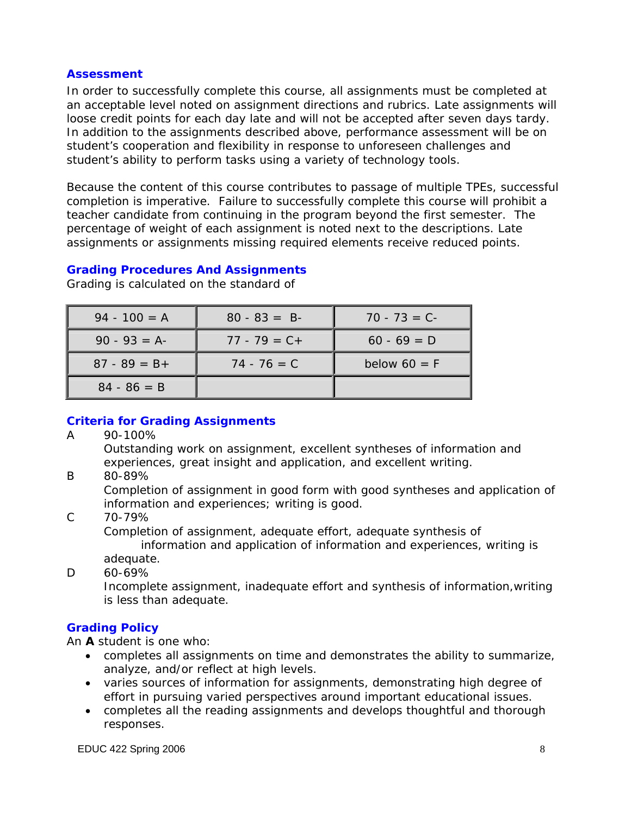### **Assessment**

In order to successfully complete this course, all assignments must be completed at an acceptable level noted on assignment directions and rubrics. Late assignments will loose credit points for each day late and will not be accepted after seven days tardy. In addition to the assignments described above, performance assessment will be on student's cooperation and flexibility in response to unforeseen challenges and student's ability to perform tasks using a variety of technology tools.

Because the content of this course contributes to passage of multiple TPEs, successful completion is imperative. Failure to successfully complete this course will prohibit a teacher candidate from continuing in the program beyond the first semester. The percentage of weight of each assignment is noted next to the descriptions. Late assignments or assignments missing required elements receive reduced points.

| $94 - 100 = A$  | $80 - 83 = B$   | $70 - 73 = C$  |
|-----------------|-----------------|----------------|
| $90 - 93 = A$   | $77 - 79 = C +$ | $60 - 69 = D$  |
| $87 - 89 = B +$ | $74 - 76 = C$   | below $60 = F$ |
| $84 - 86 = B$   |                 |                |

**Grading Procedures And Assignments**  Grading is calculated on the standard of

## **Criteria for Grading Assignments**

A 90-100%

Outstanding work on assignment, excellent syntheses of information and experiences, great insight and application, and excellent writing.

B 80-89%

Completion of assignment in good form with good syntheses and application of information and experiences; writing is good.

- C 70-79% Completion of assignment, adequate effort, adequate synthesis of information and application of information and experiences, writing is
- adequate.
- D 60-69%

Incomplete assignment, inadequate effort and synthesis of information,writing is less than adequate.

## **Grading Policy**

An **A** student is one who:

- completes all assignments on time and demonstrates the ability to summarize, analyze, and/or reflect at high levels.
- varies sources of information for assignments, demonstrating high degree of effort in pursuing varied perspectives around important educational issues.
- completes all the reading assignments and develops thoughtful and thorough responses.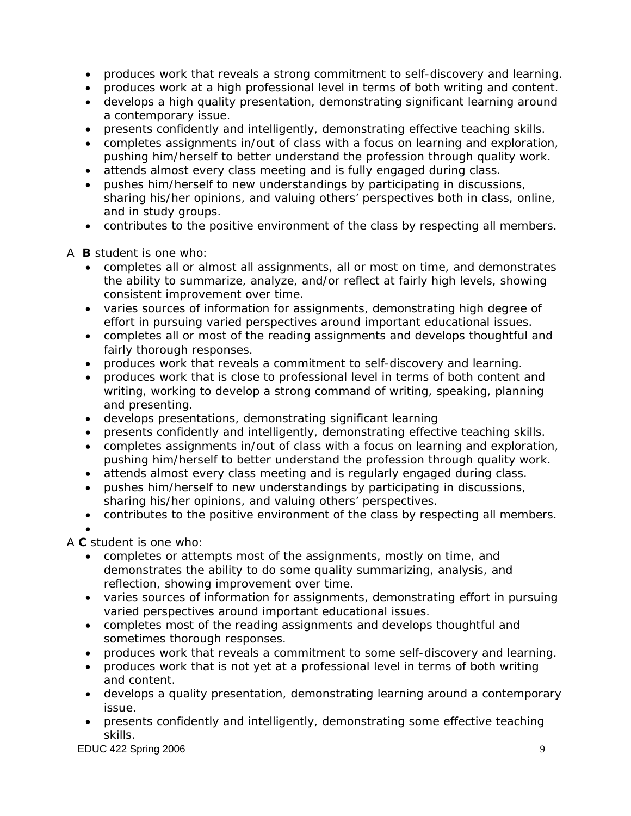- produces work that reveals a strong commitment to self-discovery and learning.
- produces work at a high professional level in terms of both writing and content.
- develops a high quality presentation, demonstrating significant learning around a contemporary issue.
- presents confidently and intelligently, demonstrating effective teaching skills.
- completes assignments in/out of class with a focus on learning and exploration, pushing him/herself to better understand the profession through quality work.
- attends almost every class meeting and is fully engaged during class.
- pushes him/herself to new understandings by participating in discussions, sharing his/her opinions, and valuing others' perspectives both in class, online, and in study groups.
- contributes to the positive environment of the class by respecting all members.

# A **B** student is one who:

- completes all or almost all assignments, all or most on time, and demonstrates the ability to summarize, analyze, and/or reflect at fairly high levels, showing consistent improvement over time.
- varies sources of information for assignments, demonstrating high degree of effort in pursuing varied perspectives around important educational issues.
- completes all or most of the reading assignments and develops thoughtful and fairly thorough responses.
- produces work that reveals a commitment to self-discovery and learning.
- produces work that is close to professional level in terms of both content and writing, working to develop a strong command of writing, speaking, planning and presenting.
- develops presentations, demonstrating significant learning
- presents confidently and intelligently, demonstrating effective teaching skills.
- completes assignments in/out of class with a focus on learning and exploration, pushing him/herself to better understand the profession through quality work.
- attends almost every class meeting and is regularly engaged during class.
- pushes him/herself to new understandings by participating in discussions, sharing his/her opinions, and valuing others' perspectives.
- contributes to the positive environment of the class by respecting all members.

•

A **C** student is one who:

- completes or attempts most of the assignments, mostly on time, and demonstrates the ability to do some quality summarizing, analysis, and reflection, showing improvement over time.
- varies sources of information for assignments, demonstrating effort in pursuing varied perspectives around important educational issues.
- completes most of the reading assignments and develops thoughtful and sometimes thorough responses.
- produces work that reveals a commitment to some self-discovery and learning.
- produces work that is not yet at a professional level in terms of both writing and content.
- develops a quality presentation, demonstrating learning around a contemporary issue.
- presents confidently and intelligently, demonstrating some effective teaching skills.

EDUC 422 Spring 2006 9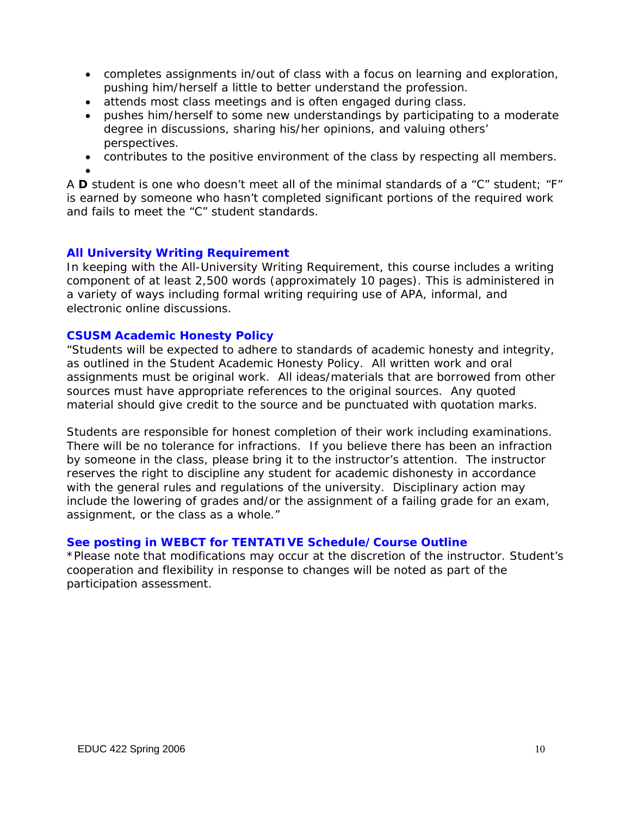- completes assignments in/out of class with a focus on learning and exploration, pushing him/herself a little to better understand the profession.
- attends most class meetings and is often engaged during class.
- pushes him/herself to some new understandings by participating to a moderate degree in discussions, sharing his/her opinions, and valuing others' perspectives.
- contributes to the positive environment of the class by respecting all members. •

A **D** student is one who doesn't meet all of the minimal standards of a "C" student; "F" is earned by someone who hasn't completed significant portions of the required work and fails to meet the "C" student standards.

### **All University Writing Requirement**

In keeping with the All-University Writing Requirement, this course includes a writing component of at least 2,500 words (approximately 10 pages). This is administered in a variety of ways including formal writing requiring use of APA, informal, and electronic online discussions.

#### **CSUSM Academic Honesty Policy**

"Students will be expected to adhere to standards of academic honesty and integrity, as outlined in the Student Academic Honesty Policy. All written work and oral assignments must be original work. All ideas/materials that are borrowed from other sources must have appropriate references to the original sources. Any quoted material should give credit to the source and be punctuated with quotation marks.

Students are responsible for honest completion of their work including examinations. There will be no tolerance for infractions. If you believe there has been an infraction by someone in the class, please bring it to the instructor's attention. The instructor reserves the right to discipline any student for academic dishonesty in accordance with the general rules and regulations of the university. Disciplinary action may include the lowering of grades and/or the assignment of a failing grade for an exam, assignment, or the class as a whole."

#### **See posting in WEBCT for TENTATIVE Schedule/Course Outline**

\*Please note that modifications may occur at the discretion of the instructor. Student's cooperation and flexibility in response to changes will be noted as part of the participation assessment.